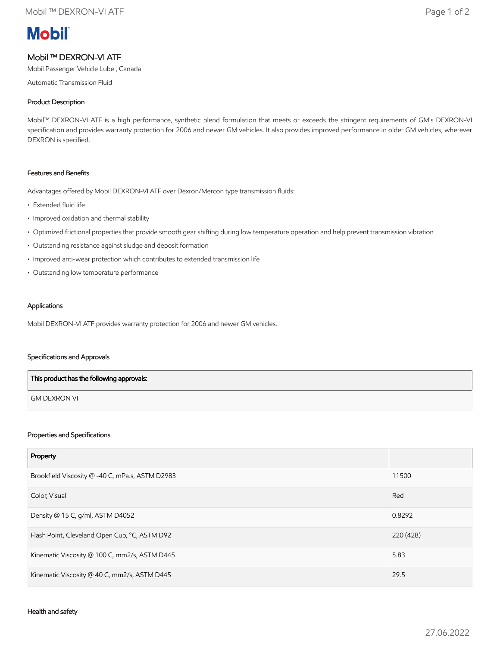# **Mobil**

# Mobil ™ DEXRON-VI ATF

Mobil Passenger Vehicle Lube , Canada

Automatic Transmission Fluid

# Product Description

Mobil™ DEXRON-VI ATF is a high performance, synthetic blend formulation that meets or exceeds the stringent requirements of GM's DEXRON-VI specification and provides warranty protection for 2006 and newer GM vehicles. It also provides improved performance in older GM vehicles, wherever DEXRON is specified.

#### Features and Benefits

Advantages offered by Mobil DEXRON-VI ATF over Dexron/Mercon type transmission fluids:

- Extended fluid life
- Improved oxidation and thermal stability
- Optimized frictional properties that provide smooth gear shifting during low temperature operation and help prevent transmission vibration
- Outstanding resistance against sludge and deposit formation
- Improved anti-wear protection which contributes to extended transmission life
- Outstanding low temperature performance

# Applications

Mobil DEXRON-VI ATF provides warranty protection for 2006 and newer GM vehicles.

#### Specifications and Approvals

| This product has the following approvals: |  |
|-------------------------------------------|--|
| <b>GM DEXRON VI</b>                       |  |

## Properties and Specifications

| Property                                        |           |
|-------------------------------------------------|-----------|
| Brookfield Viscosity @ -40 C, mPa.s, ASTM D2983 | 11500     |
| Color, Visual                                   | Red       |
| Density @ 15 C, g/ml, ASTM D4052                | 0.8292    |
| Flash Point, Cleveland Open Cup, °C, ASTM D92   | 220 (428) |
| Kinematic Viscosity @ 100 C, mm2/s, ASTM D445   | 5.83      |
| Kinematic Viscosity @ 40 C, mm2/s, ASTM D445    | 29.5      |